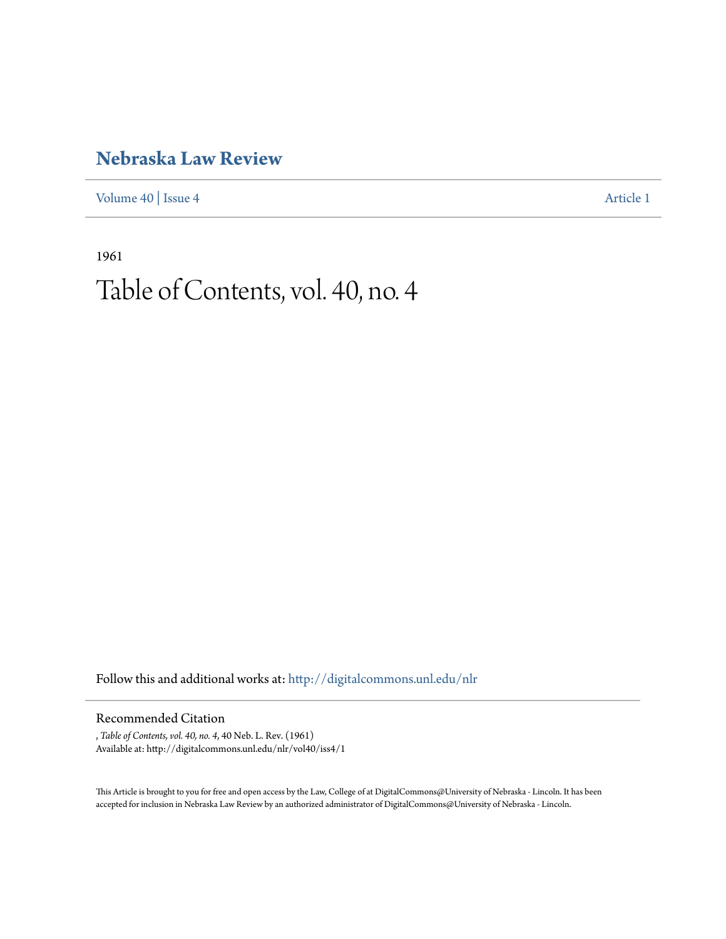### **[Nebraska Law Review](http://digitalcommons.unl.edu/nlr?utm_source=digitalcommons.unl.edu%2Fnlr%2Fvol40%2Fiss4%2F1&utm_medium=PDF&utm_campaign=PDFCoverPages)**

[Volume 40](http://digitalcommons.unl.edu/nlr/vol40?utm_source=digitalcommons.unl.edu%2Fnlr%2Fvol40%2Fiss4%2F1&utm_medium=PDF&utm_campaign=PDFCoverPages) | [Issue 4](http://digitalcommons.unl.edu/nlr/vol40/iss4?utm_source=digitalcommons.unl.edu%2Fnlr%2Fvol40%2Fiss4%2F1&utm_medium=PDF&utm_campaign=PDFCoverPages) [Article 1](http://digitalcommons.unl.edu/nlr/vol40/iss4/1?utm_source=digitalcommons.unl.edu%2Fnlr%2Fvol40%2Fiss4%2F1&utm_medium=PDF&utm_campaign=PDFCoverPages)

1961

## Table of Contents, vol. 40, no. 4

Follow this and additional works at: [http://digitalcommons.unl.edu/nlr](http://digitalcommons.unl.edu/nlr?utm_source=digitalcommons.unl.edu%2Fnlr%2Fvol40%2Fiss4%2F1&utm_medium=PDF&utm_campaign=PDFCoverPages)

#### Recommended Citation

, *Table of Contents, vol. 40, no. 4*, 40 Neb. L. Rev. (1961) Available at: http://digitalcommons.unl.edu/nlr/vol40/iss4/1

This Article is brought to you for free and open access by the Law, College of at DigitalCommons@University of Nebraska - Lincoln. It has been accepted for inclusion in Nebraska Law Review by an authorized administrator of DigitalCommons@University of Nebraska - Lincoln.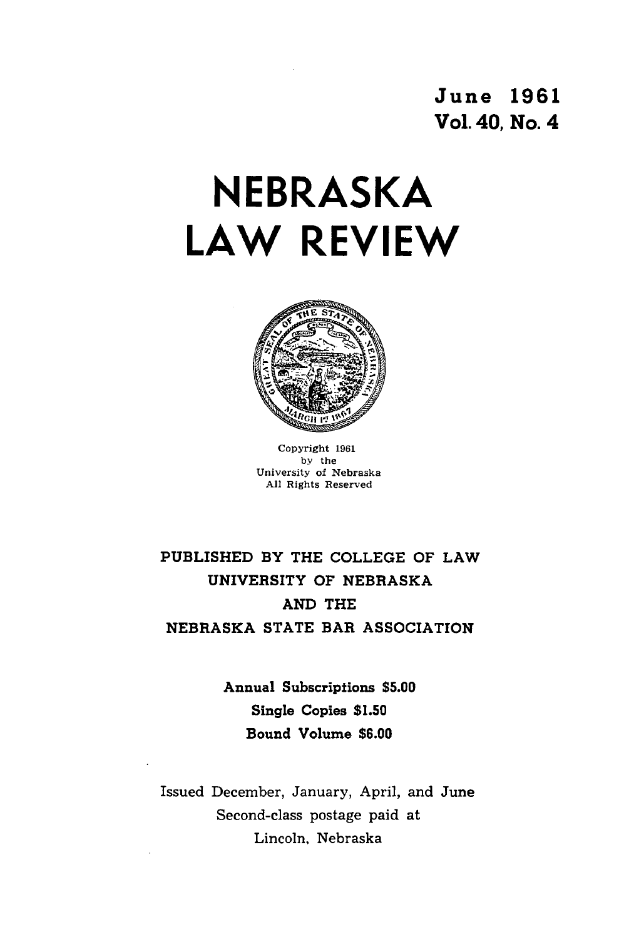June **1961** Vol. 40, No. 4

# **NEBRASKA LAW REVIEW**



Copyright 1961 by the University of Nebraska **All** Rights Reserved

### PUBLISHED BY THE **COLLEGE** OF LAW UNIVERSITY OF NEBRASKA **AND** THE NEBRASKA **STATE** BAR **ASSOCIATION**

Annual Subscriptions **\$5.00** Single Copies **\$1.50** Bound Volume **\$6.00**

Issued December, January, April, and June Second-class postage paid at Lincoln. Nebraska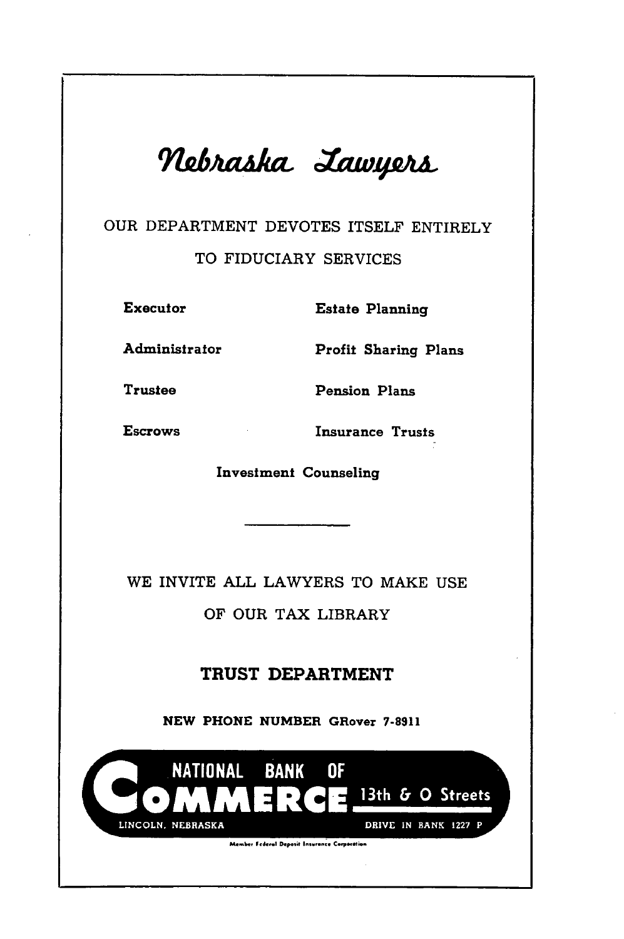

### OUR DEPARTMENT DEVOTES ITSELF ENTIRELY

#### TO FIDUCIARY SERVICES

Executor Estate Planning

Administrator Profit Sharing Plans

Trustee Pension Plans

Escrows Insurance Trusts

Investment Counseling

WE INVITE ALL LAWYERS TO MAKE USE

OF OUR TAX LIBRARY

### TRUST DEPARTMENT

**NEW PHONE NUMBER GRover 7-8911**

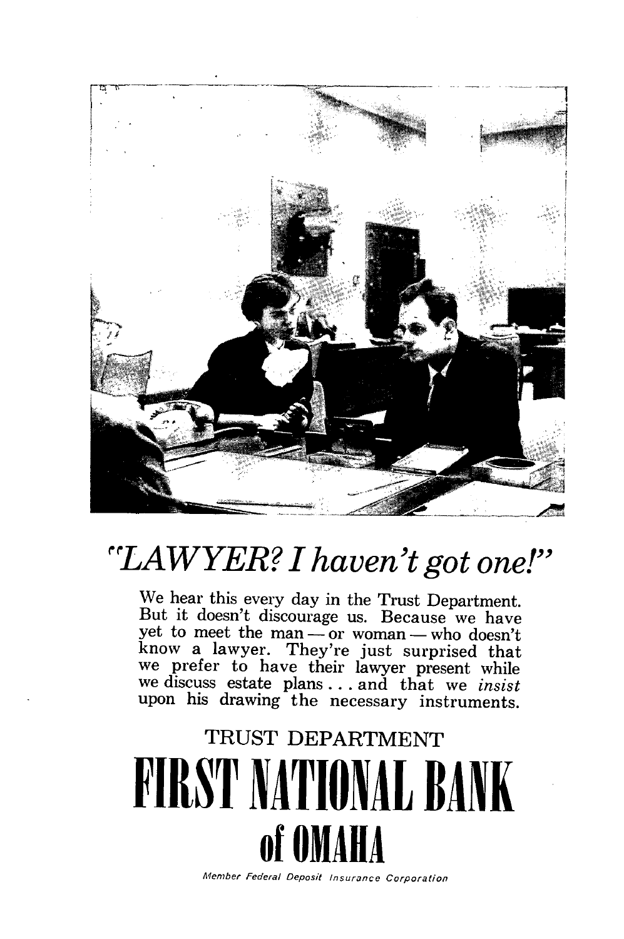

## *"LAWYER? I haven't got one!"*

We hear this every day in the Trust Department. But it doesn't discourage us. Because we have yet to meet the man **-** or woman **-** who doesn't know a lawyer. They're just surprised that we prefer to have their lawyer present while we discuss estate plans. **. .** and that we *insist* upon his drawing the necessary instruments.

# TRUST DEPARTMENT **FIRST NATIONAL BANK of OMAH** Member Federal Deposit *Insurance* Corporation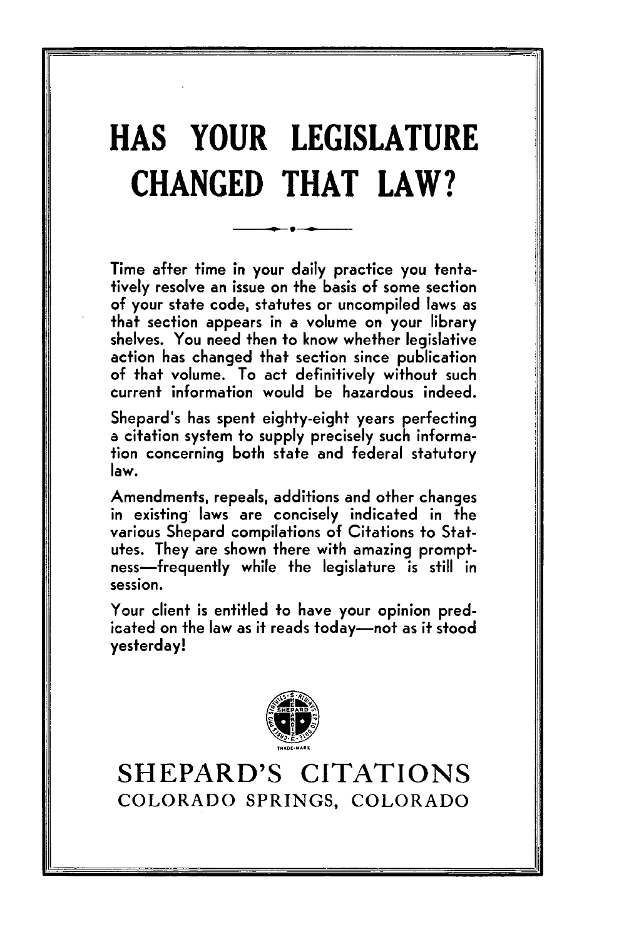# **HAS YOUR LEGISLATURE CHANGED THAT LAW?**

Time after time in your daily practice you tentatively resolve an issue on the basis of some section of your state code, statutes or uncompiled laws as that section appears in a volume on your library shelves. You need then to know whether legislative action has changed that section since publication of that volume. To act definitively without such current information would be hazardous indeed.

Shepard's has spent eighty-eight years perfecting a citation system to supply precisely such information concerning both state and federal statutory law.

Amendments, repeals, additions and other changes in existing- laws are concisely indicated in the various Shepard compilations of Citations to **Stat**utes. They are shown there with amazing promptness-frequently while the legislature is still in session.

Your client is entitled to have your opinion predicated on the law as it reads today-not as it stood yesterday!



**SHEPARD'S CITATIONS** COLORADO SPRINGS, COLORADO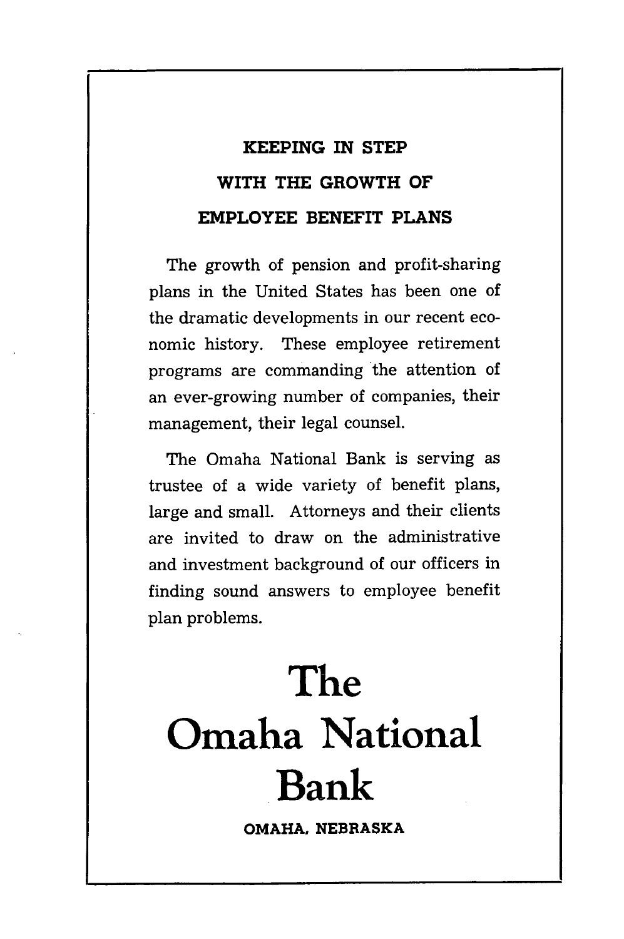### **KEEPING IN STEP WITH THE GROWTH OF EMPLOYEE BENEFIT PLANS**

The growth of pension and profit-sharing plans in the United States has been one of the dramatic developments in our recent economic history. These employee retirement programs are commanding the attention of an ever-growing number of companies, their management, their legal counsel.

The Omaha National Bank is serving as trustee of a wide variety of benefit plans, large and small. Attorneys and their clients are invited to draw on the administrative and investment background of our officers in finding sound answers to employee benefit plan problems.

# **The Omaha National Bank**

**OMAHA, NEBRASKA**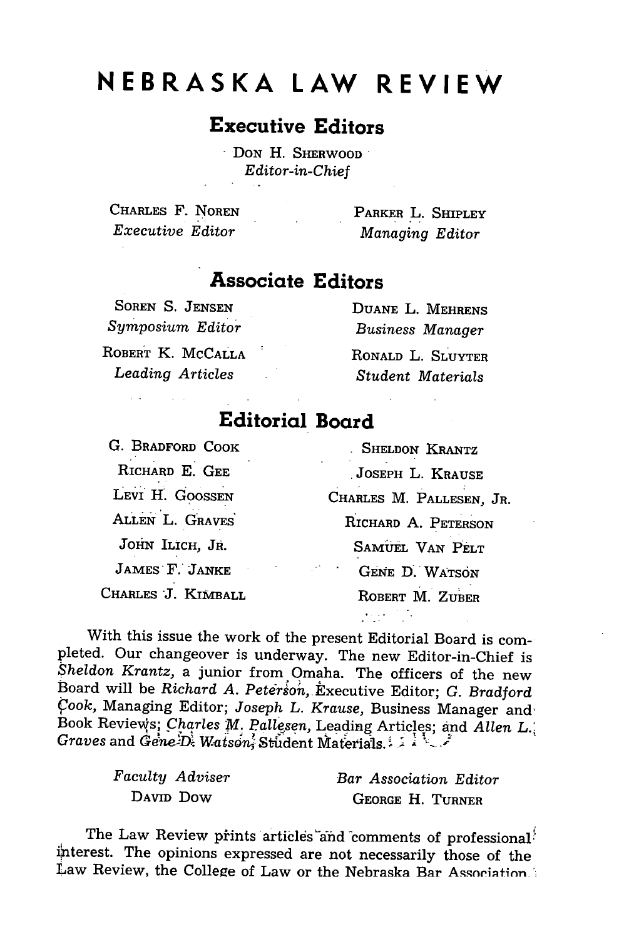## **NEBRASKA LAW REVIEW**

### **Executive Editors**

**DON H. SHERWOOD** *Editor-in-Chief*

CHARLES F. **NOREN** *Executive Editor*

PARKER L. SHIPLEY *Managing Editor*

### **Associate Editors**

**SOREN S. JENSEN** *Symposium Editor*

ROBERT K. **MCCALLA** *Leading Articles*

**DUANE** L. MEHRENS *Business Manager* RONALD L. SLUYTER *Student Materials*

### **Editorial Board**

**G.** BRADFORD COOK RICHARD **E.** GEE LEVI H. GOOSSEN ALLEN L. GRAVES' JOHN ILICH, JR. JAMES" F. **JANKE** CHARLES *"J.* KIMBALL

**SHELDON** KRANTZ **JOSEPH** L. **KRAUSE** CHARLES M. PALLESEN, JR. RICHARD **A. PETERSON** SAMUEL **VAN PELT GENE** D. WATSON ROBERT **M.** ZUBER

 $\mathcal{M}(\mathcal{A})$  .

With this issue the work of the present Editorial Board is completed. Our changeover is underway. The new Editor-in-Chief is *Sheldon Krantz,* a junior from Omaha. The officers of the new Board will be *Richard A. Peterson,* Executive Editor; G. *Bradford 4ook,* Managing Editor; *Joseph L. Krause,* Business Manager and, Book Reviews; *Charles M. Pallesen*, Leading Articles; and *Allen L.*; *Graves and GenesD. Watson, Student Materials.* 

| Faculty Adviser | Bar Association Editor |
|-----------------|------------------------|
| DAVID DOW       | GEORGE H. TURNER       |

The Law Review prints articles and comments of professional interest. The opinions expressed are not necessarily those of the Law Review, the College of Law or the Nebraska Bar Association.